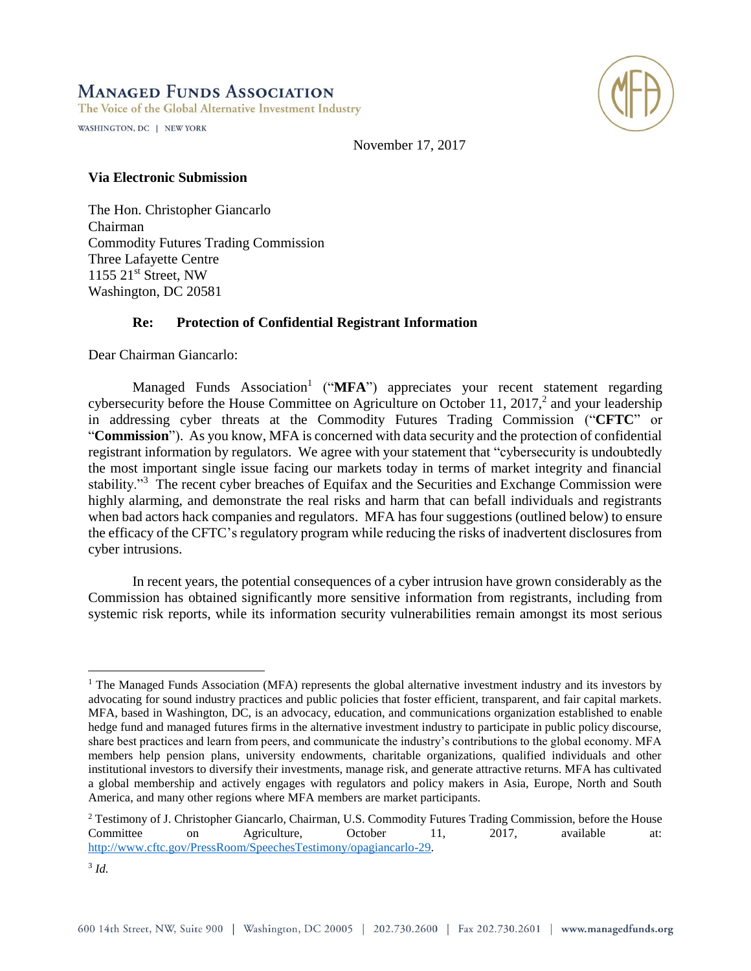# **MANAGED FUNDS ASSOCIATION**

The Voice of the Global Alternative Investment Industry

WASHINGTON, DC | NEW YORK



November 17, 2017

#### **Via Electronic Submission**

The Hon. Christopher Giancarlo Chairman Commodity Futures Trading Commission Three Lafayette Centre 1155 21<sup>st</sup> Street, NW Washington, DC 20581

### **Re: Protection of Confidential Registrant Information**

Dear Chairman Giancarlo:

Managed Funds Association<sup>1</sup> ("MFA") appreciates your recent statement regarding cybersecurity before the House Committee on Agriculture on October 11, 2017,<sup>2</sup> and your leadership in addressing cyber threats at the Commodity Futures Trading Commission ("**CFTC**" or "**Commission**"). As you know, MFA is concerned with data security and the protection of confidential registrant information by regulators. We agree with your statement that "cybersecurity is undoubtedly the most important single issue facing our markets today in terms of market integrity and financial stability."<sup>3</sup> The recent cyber breaches of Equifax and the Securities and Exchange Commission were highly alarming, and demonstrate the real risks and harm that can befall individuals and registrants when bad actors hack companies and regulators. MFA has four suggestions (outlined below) to ensure the efficacy of the CFTC's regulatory program while reducing the risks of inadvertent disclosures from cyber intrusions.

In recent years, the potential consequences of a cyber intrusion have grown considerably as the Commission has obtained significantly more sensitive information from registrants, including from systemic risk reports, while its information security vulnerabilities remain amongst its most serious

 $\overline{a}$ 

<sup>&</sup>lt;sup>1</sup> The Managed Funds Association (MFA) represents the global alternative investment industry and its investors by advocating for sound industry practices and public policies that foster efficient, transparent, and fair capital markets. MFA, based in Washington, DC, is an advocacy, education, and communications organization established to enable hedge fund and managed futures firms in the alternative investment industry to participate in public policy discourse, share best practices and learn from peers, and communicate the industry's contributions to the global economy. MFA members help pension plans, university endowments, charitable organizations, qualified individuals and other institutional investors to diversify their investments, manage risk, and generate attractive returns. MFA has cultivated a global membership and actively engages with regulators and policy makers in Asia, Europe, North and South America, and many other regions where MFA members are market participants.

<sup>2</sup> Testimony of J. Christopher Giancarlo, Chairman, U.S. Commodity Futures Trading Commission, before the House Committee on Agriculture, October 11, 2017, available at: [http://www.cftc.gov/PressRoom/SpeechesTestimony/opagiancarlo-29.](http://www.cftc.gov/PressRoom/SpeechesTestimony/opagiancarlo-29)

<sup>3</sup> *Id.*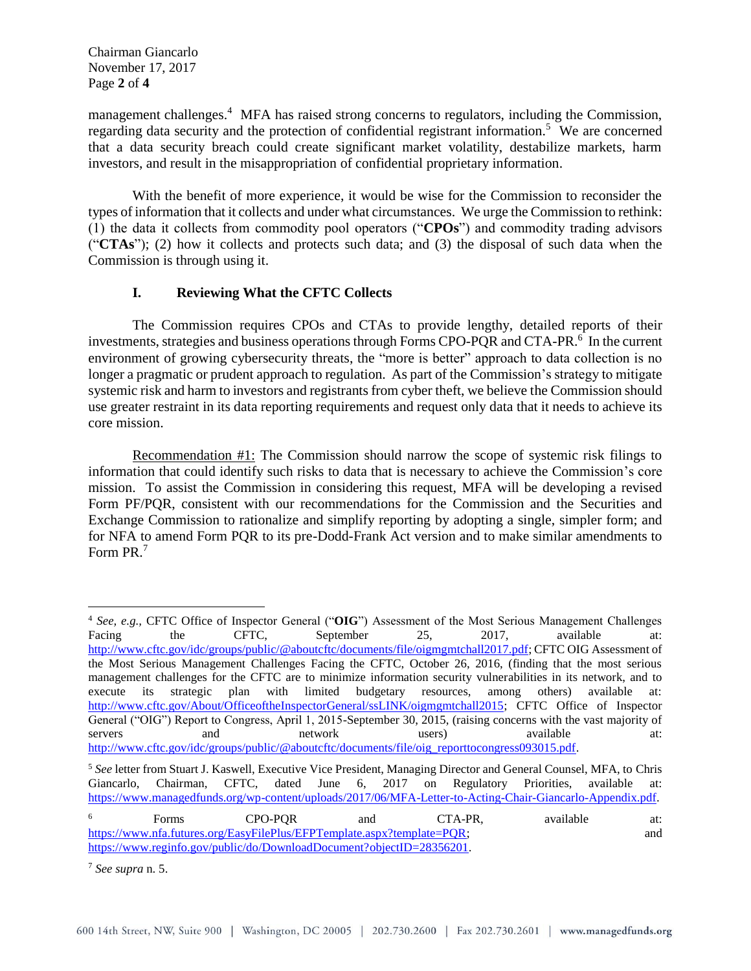Chairman Giancarlo November 17, 2017 Page **2** of **4**

management challenges.<sup>4</sup> MFA has raised strong concerns to regulators, including the Commission, regarding data security and the protection of confidential registrant information.<sup>5</sup> We are concerned that a data security breach could create significant market volatility, destabilize markets, harm investors, and result in the misappropriation of confidential proprietary information.

With the benefit of more experience, it would be wise for the Commission to reconsider the types of information that it collects and under what circumstances. We urge the Commission to rethink: (1) the data it collects from commodity pool operators ("**CPOs**") and commodity trading advisors ("**CTAs**"); (2) how it collects and protects such data; and (3) the disposal of such data when the Commission is through using it.

## **I. Reviewing What the CFTC Collects**

The Commission requires CPOs and CTAs to provide lengthy, detailed reports of their investments, strategies and business operations through Forms CPO-PQR and CTA-PR.<sup>6</sup> In the current environment of growing cybersecurity threats, the "more is better" approach to data collection is no longer a pragmatic or prudent approach to regulation. As part of the Commission's strategy to mitigate systemic risk and harm to investors and registrants from cyber theft, we believe the Commission should use greater restraint in its data reporting requirements and request only data that it needs to achieve its core mission.

Recommendation #1: The Commission should narrow the scope of systemic risk filings to information that could identify such risks to data that is necessary to achieve the Commission's core mission. To assist the Commission in considering this request, MFA will be developing a revised Form PF/PQR, consistent with our recommendations for the Commission and the Securities and Exchange Commission to rationalize and simplify reporting by adopting a single, simpler form; and for NFA to amend Form PQR to its pre-Dodd-Frank Act version and to make similar amendments to Form PR.<sup>7</sup>

 $\overline{a}$ 

<sup>&</sup>lt;sup>4</sup> *See, e.g.,* CFTC Office of Inspector General ("OIG") Assessment of the Most Serious Management Challenges Tacing the CFTC, September 25, 2017, available at: Facing the CFTC, September 25, 2017, available at: [http://www.cftc.gov/idc/groups/public/@aboutcftc/documents/file/oigmgmtchall2017.pdf;](http://www.cftc.gov/idc/groups/public/@aboutcftc/documents/file/oigmgmtchall2017.pdf) CFTC OIG Assessment of the Most Serious Management Challenges Facing the CFTC, October 26, 2016, (finding that the most serious management challenges for the CFTC are to minimize information security vulnerabilities in its network, and to execute its strategic plan with limited budgetary resources, among others) available at: [http://www.cftc.gov/About/OfficeoftheInspectorGeneral/ssLINK/oigmgmtchall2015;](http://www.cftc.gov/About/OfficeoftheInspectorGeneral/ssLINK/oigmgmtchall2015) CFTC Office of Inspector General ("OIG") Report to Congress, April 1, 2015-September 30, 2015, (raising concerns with the vast majority of servers and network users) available at: [http://www.cftc.gov/idc/groups/public/@aboutcftc/documents/file/oig\\_reporttocongress093015.pdf.](http://www.cftc.gov/idc/groups/public/@aboutcftc/documents/file/oig_reporttocongress093015.pdf)

<sup>5</sup> *See* letter from Stuart J. Kaswell, Executive Vice President, Managing Director and General Counsel, MFA, to Chris Giancarlo, Chairman, CFTC, dated June 6, 2017 on Regulatory Priorities, available at: [https://www.managedfunds.org/wp-content/uploads/2017/06/MFA-Letter-to-Acting-Chair-Giancarlo-Appendix.pdf.](https://www.managedfunds.org/wp-content/uploads/2017/06/MFA-Letter-to-Acting-Chair-Giancarlo-Appendix.pdf) 

<sup>&</sup>lt;sup>6</sup> Forms CPO-PQR and CTA-PR, available at: [https://www.nfa.futures.org/EasyFilePlus/EFPTemplate.aspx?template=PQR;](https://www.nfa.futures.org/EasyFilePlus/EFPTemplate.aspx?template=PQR) and [https://www.reginfo.gov/public/do/DownloadDocument?objectID=28356201.](https://www.reginfo.gov/public/do/DownloadDocument?objectID=28356201)

<sup>7</sup> *See supra* n. 5.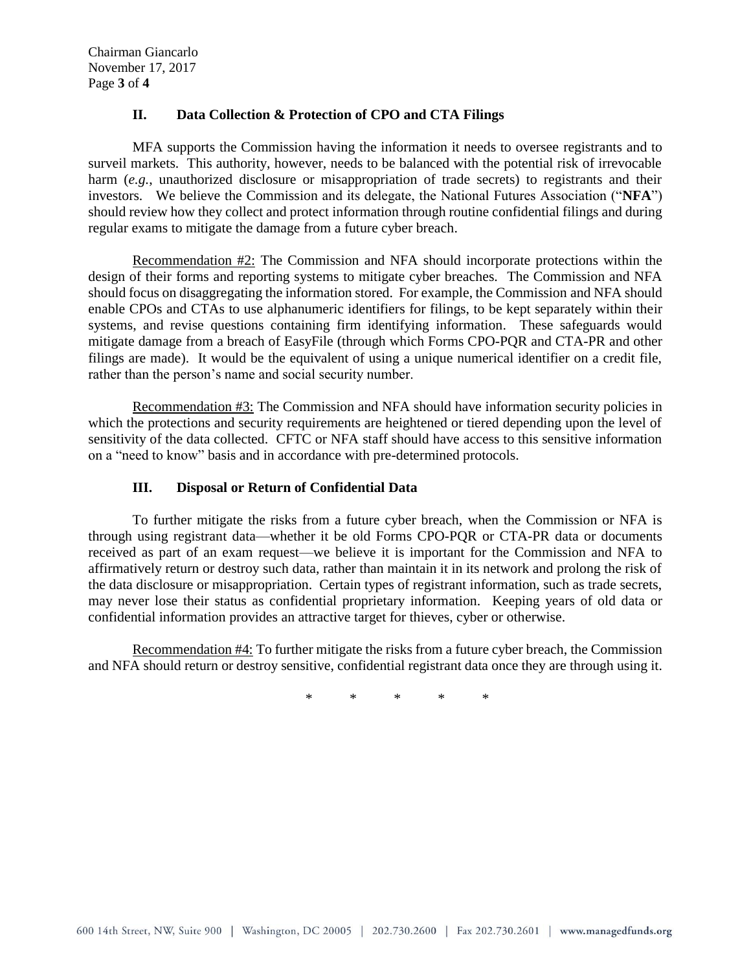Chairman Giancarlo November 17, 2017 Page **3** of **4**

### **II. Data Collection & Protection of CPO and CTA Filings**

MFA supports the Commission having the information it needs to oversee registrants and to surveil markets. This authority, however, needs to be balanced with the potential risk of irrevocable harm (*e.g.*, unauthorized disclosure or misappropriation of trade secrets) to registrants and their investors. We believe the Commission and its delegate, the National Futures Association ("**NFA**") should review how they collect and protect information through routine confidential filings and during regular exams to mitigate the damage from a future cyber breach.

Recommendation #2: The Commission and NFA should incorporate protections within the design of their forms and reporting systems to mitigate cyber breaches. The Commission and NFA should focus on disaggregating the information stored. For example, the Commission and NFA should enable CPOs and CTAs to use alphanumeric identifiers for filings, to be kept separately within their systems, and revise questions containing firm identifying information. These safeguards would mitigate damage from a breach of EasyFile (through which Forms CPO-PQR and CTA-PR and other filings are made). It would be the equivalent of using a unique numerical identifier on a credit file, rather than the person's name and social security number.

Recommendation #3: The Commission and NFA should have information security policies in which the protections and security requirements are heightened or tiered depending upon the level of sensitivity of the data collected. CFTC or NFA staff should have access to this sensitive information on a "need to know" basis and in accordance with pre-determined protocols.

### **III. Disposal or Return of Confidential Data**

To further mitigate the risks from a future cyber breach, when the Commission or NFA is through using registrant data—whether it be old Forms CPO-PQR or CTA-PR data or documents received as part of an exam request—we believe it is important for the Commission and NFA to affirmatively return or destroy such data, rather than maintain it in its network and prolong the risk of the data disclosure or misappropriation. Certain types of registrant information, such as trade secrets, may never lose their status as confidential proprietary information. Keeping years of old data or confidential information provides an attractive target for thieves, cyber or otherwise.

Recommendation #4: To further mitigate the risks from a future cyber breach, the Commission and NFA should return or destroy sensitive, confidential registrant data once they are through using it.

\* \* \* \* \*